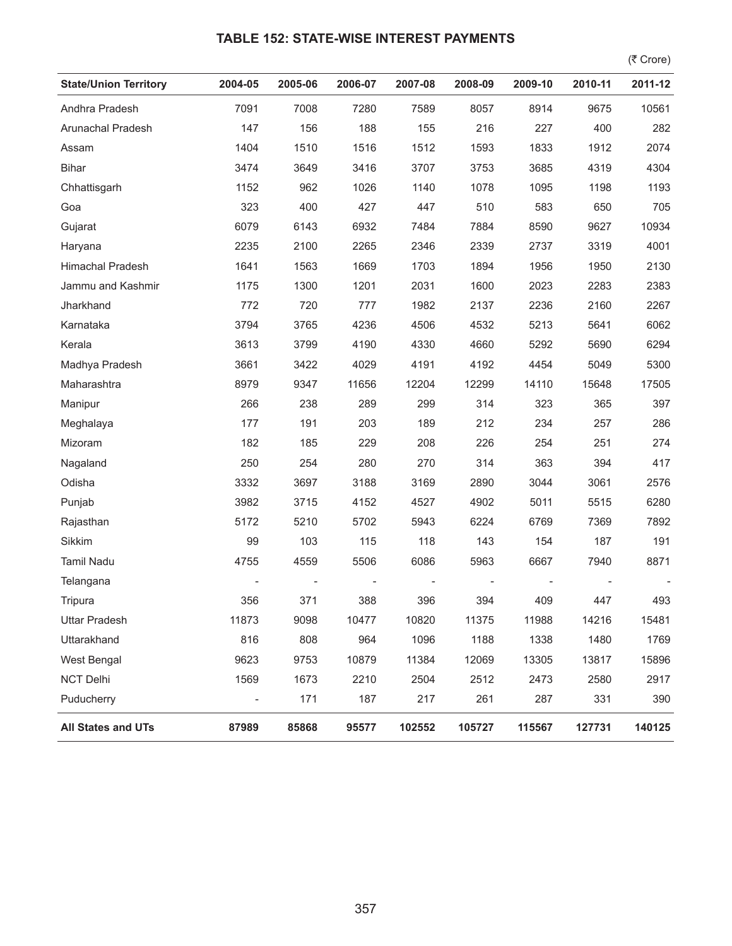## **TABLE 152: STATE-WISE INTEREST PAYMENTS**

 $($ ₹ Crore)

| <b>State/Union Territory</b> | 2004-05                  | 2005-06 | 2006-07 | 2007-08 | 2008-09 | 2009-10 | 2010-11 | 2011-12 |
|------------------------------|--------------------------|---------|---------|---------|---------|---------|---------|---------|
| Andhra Pradesh               | 7091                     | 7008    | 7280    | 7589    | 8057    | 8914    | 9675    | 10561   |
| Arunachal Pradesh            | 147                      | 156     | 188     | 155     | 216     | 227     | 400     | 282     |
| Assam                        | 1404                     | 1510    | 1516    | 1512    | 1593    | 1833    | 1912    | 2074    |
| <b>Bihar</b>                 | 3474                     | 3649    | 3416    | 3707    | 3753    | 3685    | 4319    | 4304    |
| Chhattisgarh                 | 1152                     | 962     | 1026    | 1140    | 1078    | 1095    | 1198    | 1193    |
| Goa                          | 323                      | 400     | 427     | 447     | 510     | 583     | 650     | 705     |
| Gujarat                      | 6079                     | 6143    | 6932    | 7484    | 7884    | 8590    | 9627    | 10934   |
| Haryana                      | 2235                     | 2100    | 2265    | 2346    | 2339    | 2737    | 3319    | 4001    |
| Himachal Pradesh             | 1641                     | 1563    | 1669    | 1703    | 1894    | 1956    | 1950    | 2130    |
| Jammu and Kashmir            | 1175                     | 1300    | 1201    | 2031    | 1600    | 2023    | 2283    | 2383    |
| Jharkhand                    | 772                      | 720     | 777     | 1982    | 2137    | 2236    | 2160    | 2267    |
| Karnataka                    | 3794                     | 3765    | 4236    | 4506    | 4532    | 5213    | 5641    | 6062    |
| Kerala                       | 3613                     | 3799    | 4190    | 4330    | 4660    | 5292    | 5690    | 6294    |
| Madhya Pradesh               | 3661                     | 3422    | 4029    | 4191    | 4192    | 4454    | 5049    | 5300    |
| Maharashtra                  | 8979                     | 9347    | 11656   | 12204   | 12299   | 14110   | 15648   | 17505   |
| Manipur                      | 266                      | 238     | 289     | 299     | 314     | 323     | 365     | 397     |
| Meghalaya                    | 177                      | 191     | 203     | 189     | 212     | 234     | 257     | 286     |
| Mizoram                      | 182                      | 185     | 229     | 208     | 226     | 254     | 251     | 274     |
| Nagaland                     | 250                      | 254     | 280     | 270     | 314     | 363     | 394     | 417     |
| Odisha                       | 3332                     | 3697    | 3188    | 3169    | 2890    | 3044    | 3061    | 2576    |
| Punjab                       | 3982                     | 3715    | 4152    | 4527    | 4902    | 5011    | 5515    | 6280    |
| Rajasthan                    | 5172                     | 5210    | 5702    | 5943    | 6224    | 6769    | 7369    | 7892    |
| Sikkim                       | 99                       | 103     | 115     | 118     | 143     | 154     | 187     | 191     |
| <b>Tamil Nadu</b>            | 4755                     | 4559    | 5506    | 6086    | 5963    | 6667    | 7940    | 8871    |
| Telangana                    |                          |         |         |         |         |         |         |         |
| Tripura                      | 356                      | 371     | 388     | 396     | 394     | 409     | 447     | 493     |
| <b>Uttar Pradesh</b>         | 11873                    | 9098    | 10477   | 10820   | 11375   | 11988   | 14216   | 15481   |
| Uttarakhand                  | 816                      | 808     | 964     | 1096    | 1188    | 1338    | 1480    | 1769    |
| West Bengal                  | 9623                     | 9753    | 10879   | 11384   | 12069   | 13305   | 13817   | 15896   |
| <b>NCT Delhi</b>             | 1569                     | 1673    | 2210    | 2504    | 2512    | 2473    | 2580    | 2917    |
| Puducherry                   | $\overline{\phantom{a}}$ | 171     | 187     | 217     | 261     | 287     | 331     | 390     |
| <b>All States and UTs</b>    | 87989                    | 85868   | 95577   | 102552  | 105727  | 115567  | 127731  | 140125  |